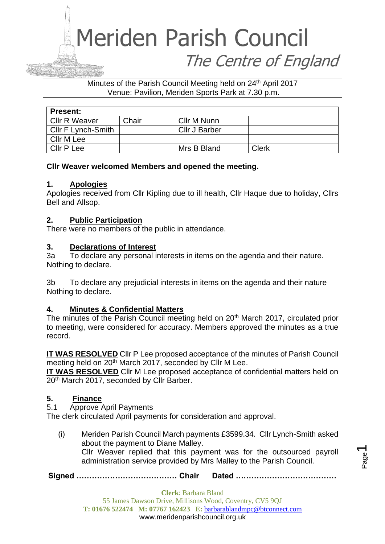#### Minutes of the Parish Council Meeting held on 24<sup>th</sup> April 2017 Venue: Pavilion, Meriden Sports Park at 7.30 p.m.

| <b>Present:</b>      |       |                      |       |  |
|----------------------|-------|----------------------|-------|--|
| <b>Cllr R Weaver</b> | Chair | Cllr M Nunn          |       |  |
| Cllr F Lynch-Smith   |       | <b>Cllr J Barber</b> |       |  |
| Cllr M Lee           |       |                      |       |  |
| Cllr P Lee           |       | Mrs B Bland          | Clerk |  |

#### **Cllr Weaver welcomed Members and opened the meeting.**

#### **1. Apologies**

Apologies received from Cllr Kipling due to ill health, Cllr Haque due to holiday, Cllrs Bell and Allsop.

#### **2. Public Participation**

There were no members of the public in attendance.

#### **3. Declarations of Interest**

3a To declare any personal interests in items on the agenda and their nature. Nothing to declare.

3b To declare any prejudicial interests in items on the agenda and their nature Nothing to declare.

#### **4. Minutes & Confidential Matters**

The minutes of the Parish Council meeting held on 20<sup>th</sup> March 2017, circulated prior to meeting, were considered for accuracy. Members approved the minutes as a true record.

**IT WAS RESOLVED** Cllr P Lee proposed acceptance of the minutes of Parish Council meeting held on 20<sup>th</sup> March 2017, seconded by Cllr M Lee.

**IT WAS RESOLVED** Cllr M Lee proposed acceptance of confidential matters held on 20<sup>th</sup> March 2017, seconded by Cllr Barber.

#### **5. Finance**

5.1 Approve April Payments

The clerk circulated April payments for consideration and approval.

(i) Meriden Parish Council March payments £3599.34. Cllr Lynch-Smith asked about the payment to Diane Malley. Cllr Weaver replied that this payment was for the outsourced payroll administration service provided by Mrs Malley to the Parish Council.

**Signed ………………………………… Chair Dated …………………………………**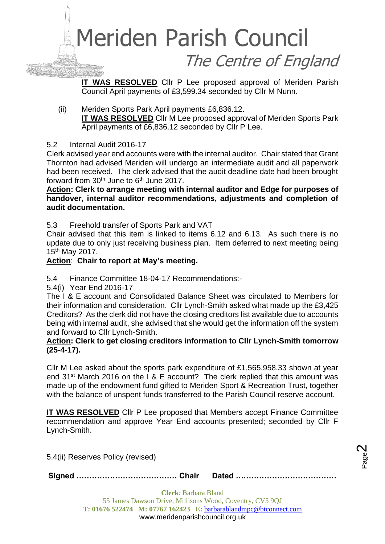

**IT WAS RESOLVED** Cllr P Lee proposed approval of Meriden Parish Council April payments of £3,599.34 seconded by Cllr M Nunn.

(ii) Meriden Sports Park April payments £6,836.12. **IT WAS RESOLVED** Cllr M Lee proposed approval of Meriden Sports Park April payments of £6,836.12 seconded by Cllr P Lee.

#### 5.2 Internal Audit 2016-17

Clerk advised year end accounts were with the internal auditor. Chair stated that Grant Thornton had advised Meriden will undergo an intermediate audit and all paperwork had been received. The clerk advised that the audit deadline date had been brought forward from  $30<sup>th</sup>$  June to  $6<sup>th</sup>$  June 2017.

**Action: Clerk to arrange meeting with internal auditor and Edge for purposes of handover, internal auditor recommendations, adjustments and completion of audit documentation.**

5.3 Freehold transfer of Sports Park and VAT

Chair advised that this item is linked to items 6.12 and 6.13. As such there is no update due to only just receiving business plan. Item deferred to next meeting being 15th May 2017.

#### **Action**: **Chair to report at May's meeting.**

5.4 Finance Committee 18-04-17 Recommendations:-

5.4(i) Year End 2016-17

The I & E account and Consolidated Balance Sheet was circulated to Members for their information and consideration. Cllr Lynch-Smith asked what made up the £3,425 Creditors? As the clerk did not have the closing creditors list available due to accounts being with internal audit, she advised that she would get the information off the system and forward to Cllr Lynch-Smith.

#### **Action: Clerk to get closing creditors information to Cllr Lynch-Smith tomorrow (25-4-17).**

Cllr M Lee asked about the sports park expenditure of £1,565.958.33 shown at year end 31<sup>st</sup> March 2016 on the I & E account? The clerk replied that this amount was made up of the endowment fund gifted to Meriden Sport & Recreation Trust, together with the balance of unspent funds transferred to the Parish Council reserve account.

**IT WAS RESOLVED** Cllr P Lee proposed that Members accept Finance Committee recommendation and approve Year End accounts presented; seconded by Cllr F Lynch-Smith.

> Page  $\boldsymbol{\sim}$

5.4(ii) Reserves Policy (revised)

**Signed ………………………………… Chair Dated …………………………………**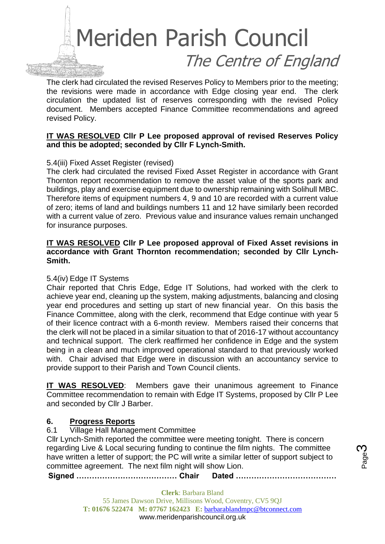

The clerk had circulated the revised Reserves Policy to Members prior to the meeting; the revisions were made in accordance with Edge closing year end. The clerk circulation the updated list of reserves corresponding with the revised Policy document. Members accepted Finance Committee recommendations and agreed revised Policy.

#### **IT WAS RESOLVED Cllr P Lee proposed approval of revised Reserves Policy and this be adopted; seconded by Cllr F Lynch-Smith.**

#### 5.4(iii) Fixed Asset Register (revised)

The clerk had circulated the revised Fixed Asset Register in accordance with Grant Thornton report recommendation to remove the asset value of the sports park and buildings, play and exercise equipment due to ownership remaining with Solihull MBC. Therefore items of equipment numbers 4, 9 and 10 are recorded with a current value of zero; items of land and buildings numbers 11 and 12 have similarly been recorded with a current value of zero. Previous value and insurance values remain unchanged for insurance purposes.

#### **IT WAS RESOLVED Cllr P Lee proposed approval of Fixed Asset revisions in accordance with Grant Thornton recommendation; seconded by Cllr Lynch-Smith.**

#### 5.4(iv) Edge IT Systems

Chair reported that Chris Edge, Edge IT Solutions, had worked with the clerk to achieve year end, cleaning up the system, making adjustments, balancing and closing year end procedures and setting up start of new financial year. On this basis the Finance Committee, along with the clerk, recommend that Edge continue with year 5 of their licence contract with a 6-month review. Members raised their concerns that the clerk will not be placed in a similar situation to that of 2016-17 without accountancy and technical support. The clerk reaffirmed her confidence in Edge and the system being in a clean and much improved operational standard to that previously worked with. Chair advised that Edge were in discussion with an accountancy service to provide support to their Parish and Town Council clients.

**IT WAS RESOLVED**: Members gave their unanimous agreement to Finance Committee recommendation to remain with Edge IT Systems, proposed by Cllr P Lee and seconded by Cllr J Barber.

#### **6. Progress Reports**

6.1 Village Hall Management Committee

Cllr Lynch-Smith reported the committee were meeting tonight. There is concern regarding Live & Local securing funding to continue the film nights. The committee have written a letter of support; the PC will write a similar letter of support subject to committee agreement. The next film night will show Lion.

Page ო

**Signed ………………………………… Chair Dated …………………………………**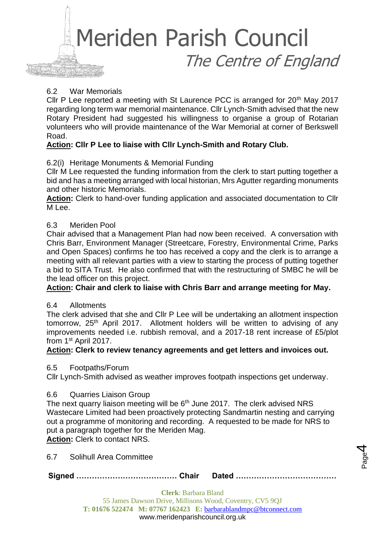

#### 6.2 War Memorials

Cllr P Lee reported a meeting with St Laurence PCC is arranged for 20<sup>th</sup> Mav 2017 regarding long term war memorial maintenance. Cllr Lynch-Smith advised that the new Rotary President had suggested his willingness to organise a group of Rotarian volunteers who will provide maintenance of the War Memorial at corner of Berkswell Road.

#### **Action: Cllr P Lee to liaise with Cllr Lynch-Smith and Rotary Club.**

#### 6.2(i) Heritage Monuments & Memorial Funding

Cllr M Lee requested the funding information from the clerk to start putting together a bid and has a meeting arranged with local historian, Mrs Agutter regarding monuments and other historic Memorials.

**Action:** Clerk to hand-over funding application and associated documentation to Cllr M Lee.

#### 6.3 Meriden Pool

Chair advised that a Management Plan had now been received. A conversation with Chris Barr, Environment Manager (Streetcare, Forestry, Environmental Crime, Parks and Open Spaces) confirms he too has received a copy and the clerk is to arrange a meeting with all relevant parties with a view to starting the process of putting together a bid to SITA Trust. He also confirmed that with the restructuring of SMBC he will be the lead officer on this project.

#### **Action: Chair and clerk to liaise with Chris Barr and arrange meeting for May.**

#### 6.4 Allotments

The clerk advised that she and Cllr P Lee will be undertaking an allotment inspection tomorrow, 25<sup>th</sup> April 2017. Allotment holders will be written to advising of any improvements needed i.e. rubbish removal, and a 2017-18 rent increase of £5/plot from 1st April 2017.

#### **Action: Clerk to review tenancy agreements and get letters and invoices out.**

6.5 Footpaths/Forum

Cllr Lynch-Smith advised as weather improves footpath inspections get underway.

#### 6.6 Quarries Liaison Group

The next quarry liaison meeting will be  $6<sup>th</sup>$  June 2017. The clerk advised NRS Wastecare Limited had been proactively protecting Sandmartin nesting and carrying out a programme of monitoring and recording. A requested to be made for NRS to put a paragraph together for the Meriden Mag. **Action:** Clerk to contact NRS.

6.7 Solihull Area Committee

**Signed ………………………………… Chair Dated …………………………………**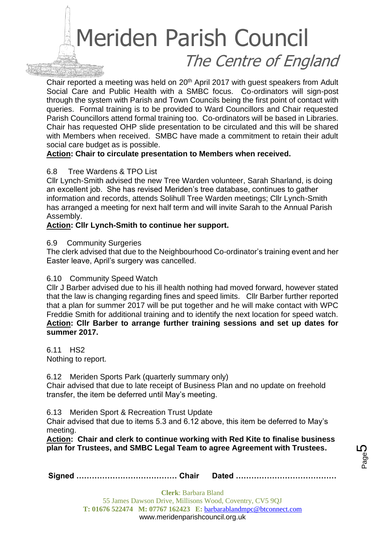Chair reported a meeting was held on 20<sup>th</sup> April 2017 with guest speakers from Adult Social Care and Public Health with a SMBC focus. Co-ordinators will sign-post through the system with Parish and Town Councils being the first point of contact with queries. Formal training is to be provided to Ward Councillors and Chair requested Parish Councillors attend formal training too. Co-ordinators will be based in Libraries. Chair has requested OHP slide presentation to be circulated and this will be shared with Members when received. SMBC have made a commitment to retain their adult social care budget as is possible.

#### **Action: Chair to circulate presentation to Members when received.**

#### 6.8 Tree Wardens & TPO List

Cllr Lynch-Smith advised the new Tree Warden volunteer, Sarah Sharland, is doing an excellent job. She has revised Meriden's tree database, continues to gather information and records, attends Solihull Tree Warden meetings; Cllr Lynch-Smith has arranged a meeting for next half term and will invite Sarah to the Annual Parish Assembly.

#### **Action: Cllr Lynch-Smith to continue her support.**

#### 6.9 Community Surgeries

The clerk advised that due to the Neighbourhood Co-ordinator's training event and her Easter leave, April's surgery was cancelled.

#### 6.10 Community Speed Watch

Cllr J Barber advised due to his ill health nothing had moved forward, however stated that the law is changing regarding fines and speed limits. Cllr Barber further reported that a plan for summer 2017 will be put together and he will make contact with WPC Freddie Smith for additional training and to identify the next location for speed watch. **Action: Cllr Barber to arrange further training sessions and set up dates for summer 2017.**

6.11 HS2 Nothing to report.

6.12 Meriden Sports Park (quarterly summary only)

Chair advised that due to late receipt of Business Plan and no update on freehold transfer, the item be deferred until May's meeting.

6.13 Meriden Sport & Recreation Trust Update

Chair advised that due to items 5.3 and 6.12 above, this item be deferred to May's meeting.

**Action: Chair and clerk to continue working with Red Kite to finalise business plan for Trustees, and SMBC Legal Team to agree Agreement with Trustees.**

|--|--|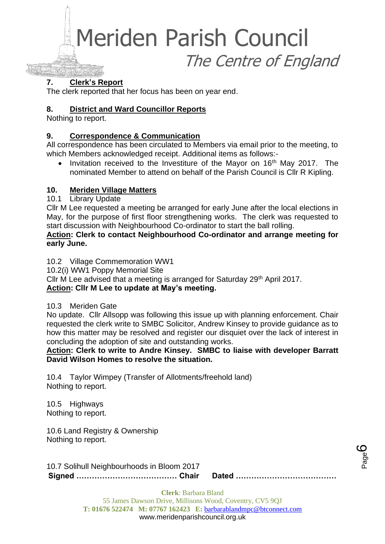Meriden Parish Council

The Centre of England

#### **7. Clerk's Report**

The clerk reported that her focus has been on year end.

#### **8. District and Ward Councillor Reports**

Nothing to report.

#### **9. Correspondence & Communication**

All correspondence has been circulated to Members via email prior to the meeting, to which Members acknowledged receipt. Additional items as follows:-

• Invitation received to the Investiture of the Mayor on 16<sup>th</sup> May 2017. The nominated Member to attend on behalf of the Parish Council is Cllr R Kipling.

#### **10. Meriden Village Matters**

10.1 Library Update

Cllr M Lee requested a meeting be arranged for early June after the local elections in May, for the purpose of first floor strengthening works. The clerk was requested to start discussion with Neighbourhood Co-ordinator to start the ball rolling.

#### **Action: Clerk to contact Neighbourhood Co-ordinator and arrange meeting for early June.**

10.2 Village Commemoration WW1

10.2(i) WW1 Poppy Memorial Site

Cllr M Lee advised that a meeting is arranged for Saturday 29<sup>th</sup> April 2017. **Action: Cllr M Lee to update at May's meeting.**

#### 10.3 Meriden Gate

No update. Cllr Allsopp was following this issue up with planning enforcement. Chair requested the clerk write to SMBC Solicitor, Andrew Kinsey to provide guidance as to how this matter may be resolved and register our disquiet over the lack of interest in concluding the adoption of site and outstanding works.

#### **Action: Clerk to write to Andre Kinsey. SMBC to liaise with developer Barratt David Wilson Homes to resolve the situation.**

10.4 Taylor Wimpey (Transfer of Allotments/freehold land) Nothing to report.

10.5 Highways Nothing to report.

10.6 Land Registry & Ownership Nothing to report.

**Signed ………………………………… Chair Dated …………………………………** 10.7 Solihull Neighbourhoods in Bloom 2017

Page ပ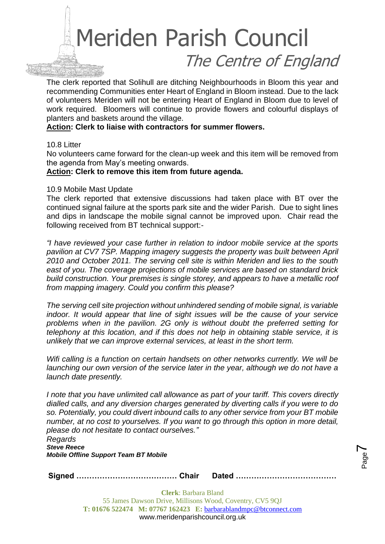The clerk reported that Solihull are ditching Neighbourhoods in Bloom this year and recommending Communities enter Heart of England in Bloom instead. Due to the lack of volunteers Meriden will not be entering Heart of England in Bloom due to level of work required. Bloomers will continue to provide flowers and colourful displays of planters and baskets around the village.

#### **Action: Clerk to liaise with contractors for summer flowers.**

#### 10.8 Litter

No volunteers came forward for the clean-up week and this item will be removed from the agenda from May's meeting onwards.

#### **Action: Clerk to remove this item from future agenda.**

#### 10.9 Mobile Mast Update

The clerk reported that extensive discussions had taken place with BT over the continued signal failure at the sports park site and the wider Parish. Due to sight lines and dips in landscape the mobile signal cannot be improved upon. Chair read the following received from BT technical support:-

*"I have reviewed your case further in relation to indoor mobile service at the sports pavilion at CV7 7SP. Mapping imagery suggests the property was built between April 2010 and October 2011. The serving cell site is within Meriden and lies to the south east of you. The coverage projections of mobile services are based on standard brick build construction. Your premises is single storey, and appears to have a metallic roof from mapping imagery. Could you confirm this please?* 

*The serving cell site projection without unhindered sending of mobile signal, is variable indoor. It would appear that line of sight issues will be the cause of your service problems when in the pavilion. 2G only is without doubt the preferred setting for telephony at this location, and if this does not help in obtaining stable service, it is unlikely that we can improve external services, at least in the short term.*

*Wifi calling is a function on certain handsets on other networks currently. We will be launching our own version of the service later in the year, although we do not have a launch date presently.*

*I note that you have unlimited call allowance as part of your tariff. This covers directly dialled calls, and any diversion charges generated by diverting calls if you were to do so. Potentially, you could divert inbound calls to any other service from your BT mobile number, at no cost to yourselves. If you want to go through this option in more detail, please do not hesitate to contact ourselves."*

> Page  $\blacktriangleright$

*Regards Steve Reece Mobile Offline Support Team BT Mobile*

**Signed ………………………………… Chair Dated …………………………………**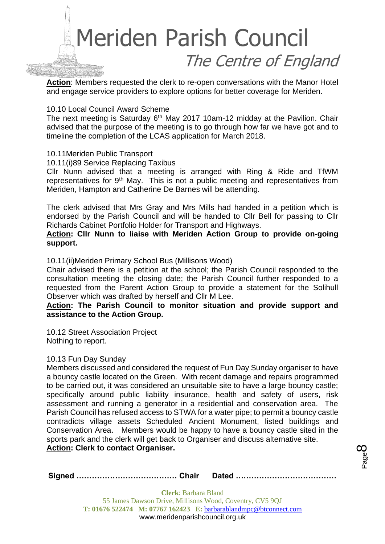

**Action**: Members requested the clerk to re-open conversations with the Manor Hotel and engage service providers to explore options for better coverage for Meriden.

#### 10.10 Local Council Award Scheme

The next meeting is Saturday 6<sup>th</sup> May 2017 10am-12 midday at the Pavilion. Chair advised that the purpose of the meeting is to go through how far we have got and to timeline the completion of the LCAS application for March 2018.

#### 10.11Meriden Public Transport

10.11(i)89 Service Replacing Taxibus

Cllr Nunn advised that a meeting is arranged with Ring & Ride and TfWM representatives for 9th May. This is not a public meeting and representatives from Meriden, Hampton and Catherine De Barnes will be attending.

The clerk advised that Mrs Gray and Mrs Mills had handed in a petition which is endorsed by the Parish Council and will be handed to Cllr Bell for passing to Cllr Richards Cabinet Portfolio Holder for Transport and Highways.

**Action: Cllr Nunn to liaise with Meriden Action Group to provide on-going support.**

10.11(ii)Meriden Primary School Bus (Millisons Wood)

Chair advised there is a petition at the school; the Parish Council responded to the consultation meeting the closing date; the Parish Council further responded to a requested from the Parent Action Group to provide a statement for the Solihull Observer which was drafted by herself and Cllr M Lee.

#### **Action: The Parish Council to monitor situation and provide support and assistance to the Action Group.**

10.12 Street Association Project Nothing to report.

#### 10.13 Fun Day Sunday

Members discussed and considered the request of Fun Day Sunday organiser to have a bouncy castle located on the Green. With recent damage and repairs programmed to be carried out, it was considered an unsuitable site to have a large bouncy castle; specifically around public liability insurance, health and safety of users, risk assessment and running a generator in a residential and conservation area. The Parish Council has refused access to STWA for a water pipe; to permit a bouncy castle contradicts village assets Scheduled Ancient Monument, listed buildings and Conservation Area. Members would be happy to have a bouncy castle sited in the sports park and the clerk will get back to Organiser and discuss alternative site. **Action: Clerk to contact Organiser.**

|--|--|

Page  $\infty$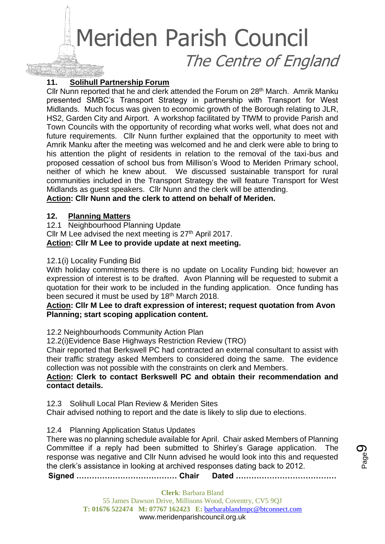#### **11. Solihull Partnership Forum**

Cllr Nunn reported that he and clerk attended the Forum on 28th March. Amrik Manku presented SMBC's Transport Strategy in partnership with Transport for West Midlands. Much focus was given to economic growth of the Borough relating to JLR, HS2, Garden City and Airport. A workshop facilitated by TfWM to provide Parish and Town Councils with the opportunity of recording what works well, what does not and future requirements. Cllr Nunn further explained that the opportunity to meet with Amrik Manku after the meeting was welcomed and he and clerk were able to bring to his attention the plight of residents in relation to the removal of the taxi-bus and proposed cessation of school bus from Millison's Wood to Meriden Primary school, neither of which he knew about. We discussed sustainable transport for rural communities included in the Transport Strategy the will feature Transport for West Midlands as guest speakers. Cllr Nunn and the clerk will be attending.

**Action: Cllr Nunn and the clerk to attend on behalf of Meriden.**

#### **12. Planning Matters**

12.1 Neighbourhood Planning Update Cllr M Lee advised the next meeting is 27<sup>th</sup> April 2017. **Action: Cllr M Lee to provide update at next meeting.**

#### 12.1(i) Locality Funding Bid

With holiday commitments there is no update on Locality Funding bid; however an expression of interest is to be drafted. Avon Planning will be requested to submit a quotation for their work to be included in the funding application. Once funding has been secured it must be used by 18<sup>th</sup> March 2018.

#### **Action: Cllr M Lee to draft expression of interest; request quotation from Avon Planning; start scoping application content.**

12.2 Neighbourhoods Community Action Plan

12.2(i)Evidence Base Highways Restriction Review (TRO)

Chair reported that Berkswell PC had contracted an external consultant to assist with their traffic strategy asked Members to considered doing the same. The evidence collection was not possible with the constraints on clerk and Members.

#### **Action: Clerk to contact Berkswell PC and obtain their recommendation and contact details.**

12.3 Solihull Local Plan Review & Meriden Sites

Chair advised nothing to report and the date is likely to slip due to elections.

#### 12.4 Planning Application Status Updates

There was no planning schedule available for April. Chair asked Members of Planning Committee if a reply had been submitted to Shirley's Garage application. The response was negative and Cllr Nunn advised he would look into this and requested the clerk's assistance in looking at archived responses dating back to 2012.

**Signed ………………………………… Chair Dated …………………………………**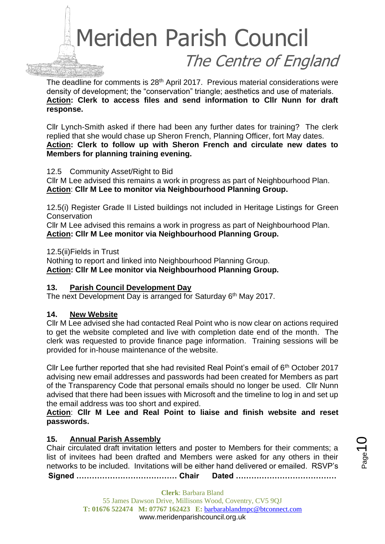

The deadline for comments is 28<sup>th</sup> April 2017. Previous material considerations were density of development; the "conservation" triangle; aesthetics and use of materials. **Action: Clerk to access files and send information to Cllr Nunn for draft response.**

Cllr Lynch-Smith asked if there had been any further dates for training? The clerk replied that she would chase up Sheron French, Planning Officer, fort May dates. **Action: Clerk to follow up with Sheron French and circulate new dates to Members for planning training evening.**

12.5 Community Asset/Right to Bid

Cllr M Lee advised this remains a work in progress as part of Neighbourhood Plan. **Action**: **Cllr M Lee to monitor via Neighbourhood Planning Group.**

12.5(i) Register Grade II Listed buildings not included in Heritage Listings for Green **Conservation** 

Cllr M Lee advised this remains a work in progress as part of Neighbourhood Plan. **Action: Cllr M Lee monitor via Neighbourhood Planning Group.**

12.5(ii)Fields in Trust

Nothing to report and linked into Neighbourhood Planning Group. **Action: Cllr M Lee monitor via Neighbourhood Planning Group.**

#### **13. Parish Council Development Day**

The next Development Day is arranged for Saturday 6<sup>th</sup> May 2017.

#### **14. New Website**

Cllr M Lee advised she had contacted Real Point who is now clear on actions required to get the website completed and live with completion date end of the month. The clerk was requested to provide finance page information. Training sessions will be provided for in-house maintenance of the website.

Cllr Lee further reported that she had revisited Real Point's email of  $6<sup>th</sup>$  October 2017 advising new email addresses and passwords had been created for Members as part of the Transparency Code that personal emails should no longer be used. Cllr Nunn advised that there had been issues with Microsoft and the timeline to log in and set up the email address was too short and expired.

**Action**: **Cllr M Lee and Real Point to liaise and finish website and reset passwords.**

#### **15. Annual Parish Assembly**

Chair circulated draft invitation letters and poster to Members for their comments; a list of invitees had been drafted and Members were asked for any others in their networks to be included. Invitations will be either hand delivered or emailed. RSVP's

**Signed ………………………………… Chair Dated …………………………………**

**Clerk**: Barbara Bland 55 James Dawson Drive, Millisons Wood, Coventry, CV5 9QJ **T: 01676 522474 M: 07767 162423 E:** [barbarablandmpc@btconnect.com](mailto:barbarablandmpc@btconnect.com) www.meridenparishcouncil.org.uk

l<br>Page